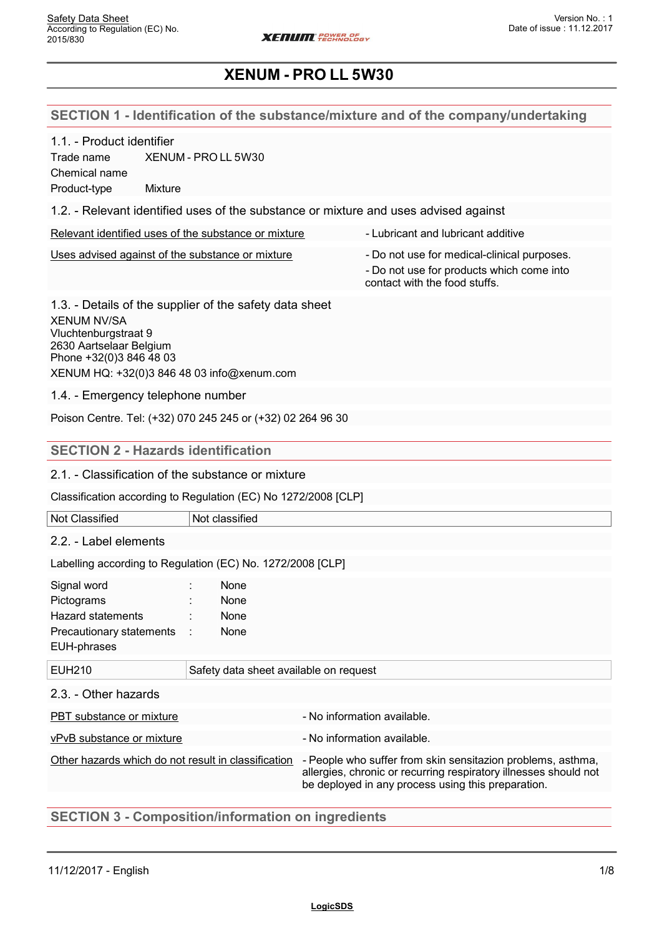## **SECTION 1 - Identification of the substance/mixture and of the company/undertaking**

| 1.1. - Product identifier |  |
|---------------------------|--|
|---------------------------|--|

Trade name XENUM - PRO LL 5W30 Chemical name Product-type Mixture

1.2. - Relevant identified uses of the substance or mixture and uses advised against

|  |  | Relevant identified uses of the substance or mixture |  |
|--|--|------------------------------------------------------|--|
|  |  |                                                      |  |
|  |  |                                                      |  |

- Lubricant and lubricant additive Uses advised against of the substance or mixture - Do not use for medical-clinical purposes.
	- Do not use for products which come into contact with the food stuffs.

1.3. - Details of the supplier of the safety data sheet XENUM NV/SA Vluchtenburgstraat 9 2630 Aartselaar Belgium Phone +32(0)3 846 48 03 XENUM HQ: +32(0)3 846 48 03 info@xenum.com

1.4. - Emergency telephone number

Poison Centre. Tel: (+32) 070 245 245 or (+32) 02 264 96 30

#### **SECTION 2 - Hazards identification**

2.1. - Classification of the substance or mixture

Classification according to Regulation (EC) No 1272/2008 [CLP]

| Not Classified | Not classified |
|----------------|----------------|
|                |                |

2.2. - Label elements

Labelling according to Regulation (EC) No. 1272/2008 [CLP]

| Signal word                | None        |  |
|----------------------------|-------------|--|
| Pictograms                 | None        |  |
| Hazard statements          | None        |  |
| Precautionary statements : | <b>None</b> |  |
| EUH-phrases                |             |  |

| EUH210                                              | Safety data sheet available on request |                                                                                                                                                                                       |  |
|-----------------------------------------------------|----------------------------------------|---------------------------------------------------------------------------------------------------------------------------------------------------------------------------------------|--|
|                                                     |                                        |                                                                                                                                                                                       |  |
| 2.3. - Other hazards                                |                                        |                                                                                                                                                                                       |  |
| PBT substance or mixture                            |                                        | - No information available.                                                                                                                                                           |  |
| vPvB substance or mixture                           |                                        | - No information available.                                                                                                                                                           |  |
| Other hazards which do not result in classification |                                        | - People who suffer from skin sensitazion problems, asthma,<br>allergies, chronic or recurring respiratory illnesses should not<br>be deployed in any process using this preparation. |  |

## **SECTION 3 - Composition/information on ingredients**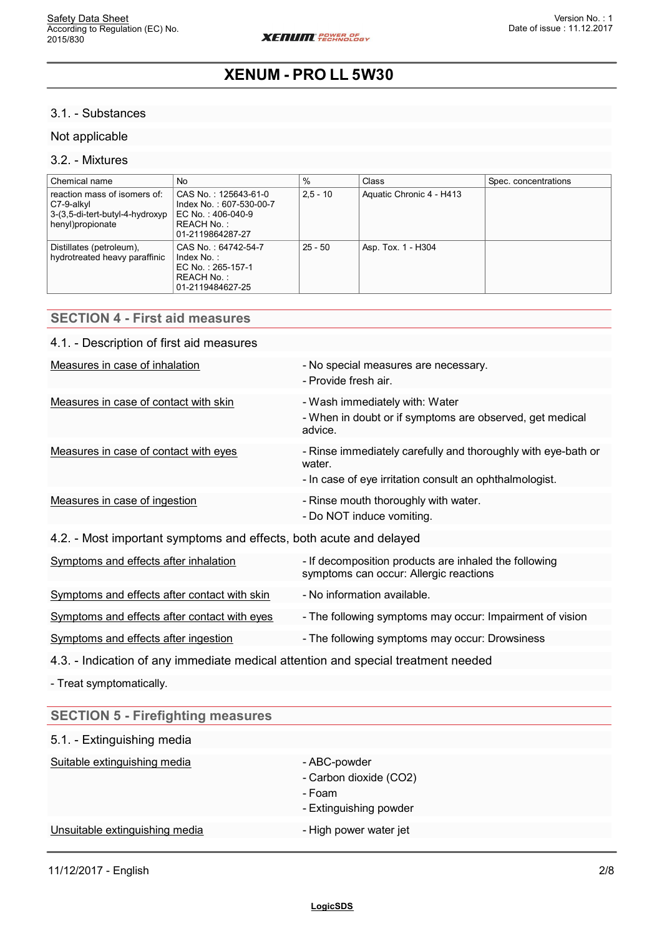### 3.1. - Substances

## Not applicable

#### 3.2. - Mixtures

| Chemical name                                                                                     | No                                                                                                    | $\%$       | Class                    | Spec. concentrations |
|---------------------------------------------------------------------------------------------------|-------------------------------------------------------------------------------------------------------|------------|--------------------------|----------------------|
| reaction mass of isomers of:<br>C7-9-alkyl<br>3-(3,5-di-tert-butyl-4-hydroxyp<br>henyl)propionate | CAS No.:125643-61-0<br>Index No.: 607-530-00-7<br>EC No.:406-040-9<br>REACH No. :<br>01-2119864287-27 | $2.5 - 10$ | Aquatic Chronic 4 - H413 |                      |
| Distillates (petroleum),<br>hydrotreated heavy paraffinic                                         | CAS No.: 64742-54-7<br>Index No.:<br>EC No. : 265-157-1<br>REACH No. :<br>01-2119484627-25            | $25 - 50$  | Asp. Tox. 1 - H304       |                      |

| <b>SECTION 4 - First aid measures</b>                                             |                                                                                                                                    |
|-----------------------------------------------------------------------------------|------------------------------------------------------------------------------------------------------------------------------------|
| 4.1. - Description of first aid measures                                          |                                                                                                                                    |
| Measures in case of inhalation                                                    | - No special measures are necessary.<br>- Provide fresh air.                                                                       |
| Measures in case of contact with skin                                             | - Wash immediately with: Water<br>- When in doubt or if symptoms are observed, get medical<br>advice.                              |
| Measures in case of contact with eyes                                             | - Rinse immediately carefully and thoroughly with eye-bath or<br>water.<br>- In case of eye irritation consult an ophthalmologist. |
| Measures in case of ingestion                                                     | - Rinse mouth thoroughly with water.<br>- Do NOT induce vomiting.                                                                  |
| 4.2. - Most important symptoms and effects, both acute and delayed                |                                                                                                                                    |
| Symptoms and effects after inhalation                                             | - If decomposition products are inhaled the following<br>symptoms can occur: Allergic reactions                                    |
| Symptoms and effects after contact with skin                                      | - No information available.                                                                                                        |
| Symptoms and effects after contact with eyes                                      | - The following symptoms may occur: Impairment of vision                                                                           |
| Symptoms and effects after ingestion                                              | - The following symptoms may occur: Drowsiness                                                                                     |
| 4.3. - Indication of any immediate medical attention and special treatment needed |                                                                                                                                    |
| - Treat symptomatically.                                                          |                                                                                                                                    |
| <b>SECTION 5 - Firefighting measures</b>                                          |                                                                                                                                    |
| 5.1. - Extinguishing media                                                        |                                                                                                                                    |

| Suitable extinguishing media   | - ABC-powder<br>- Carbon dioxide (CO2)<br>- Foam<br>- Extinguishing powder |
|--------------------------------|----------------------------------------------------------------------------|
| Unsuitable extinguishing media | - High power water jet                                                     |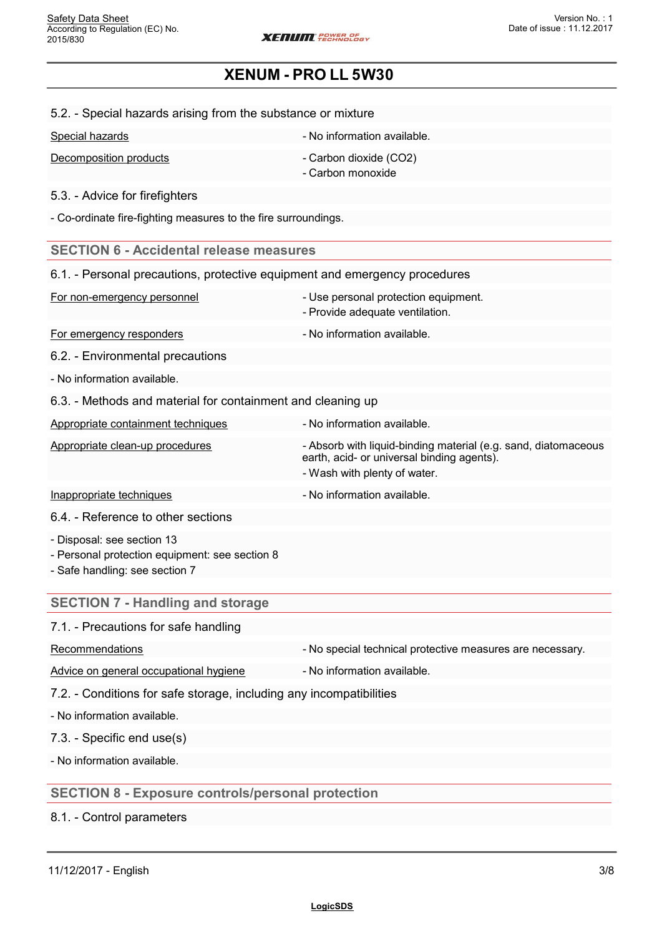#### 5.2. - Special hazards arising from the substance or mixture

| Special hazards | - No information available. |
|-----------------|-----------------------------|
|                 |                             |

Decomposition products - Carbon dioxide (CO2) - Carbon monoxide

5.3. - Advice for firefighters

- Co-ordinate fire-fighting measures to the fire surroundings.

#### **SECTION 6 - Accidental release measures**

| 6.1. - Personal precautions, protective equipment and emergency procedures |                                                                                                                                              |  |
|----------------------------------------------------------------------------|----------------------------------------------------------------------------------------------------------------------------------------------|--|
| For non-emergency personnel                                                | - Use personal protection equipment.<br>- Provide adequate ventilation.                                                                      |  |
| For emergency responders                                                   | - No information available.                                                                                                                  |  |
| 6.2. - Environmental precautions                                           |                                                                                                                                              |  |
| - No information available.                                                |                                                                                                                                              |  |
| 6.3. - Methods and material for containment and cleaning up                |                                                                                                                                              |  |
| Appropriate containment techniques                                         | - No information available.                                                                                                                  |  |
| Appropriate clean-up procedures                                            | - Absorb with liquid-binding material (e.g. sand, diatomaceous<br>earth, acid- or universal binding agents).<br>- Wash with plenty of water. |  |
| Inappropriate techniques                                                   | - No information available.                                                                                                                  |  |
| 6.4. - Reference to other sections                                         |                                                                                                                                              |  |

- Disposal: see section 13

- Personal protection equipment: see section 8

- Safe handling: see section 7

## **SECTION 7 - Handling and storage**

## 7.1. - Precautions for safe handling

Recommendations **Recommendations** - No special technical protective measures are necessary.

Advice on general occupational hygiene - No information available.

7.2. - Conditions for safe storage, including any incompatibilities

- No information available.

7.3. - Specific end use(s)

- No information available.

## **SECTION 8 - Exposure controls/personal protection**

8.1. - Control parameters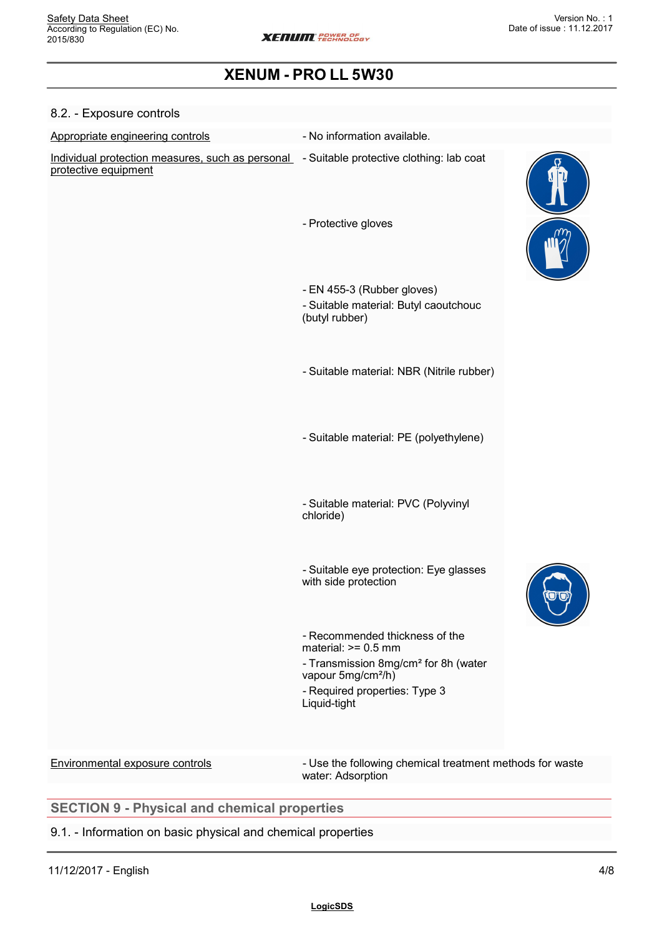| 8.2. - Exposure controls                                                                                          |                                                                                       |  |
|-------------------------------------------------------------------------------------------------------------------|---------------------------------------------------------------------------------------|--|
| Appropriate engineering controls                                                                                  | - No information available.                                                           |  |
| Individual protection measures, such as personal - Suitable protective clothing: lab coat<br>protective equipment |                                                                                       |  |
|                                                                                                                   | - Protective gloves                                                                   |  |
|                                                                                                                   | - EN 455-3 (Rubber gloves)<br>- Suitable material: Butyl caoutchouc<br>(butyl rubber) |  |
|                                                                                                                   | - Suitable material: NBR (Nitrile rubber)                                             |  |
|                                                                                                                   | - Suitable material: PE (polyethylene)                                                |  |

- Suitable material: PVC (Polyvinyl chloride)

- Suitable eye protection: Eye glasses with side protection



Environmental exposure controls - Use the following chemical treatment methods for waste water: Adsorption

# **SECTION 9 - Physical and chemical properties**

## 9.1. - Information on basic physical and chemical properties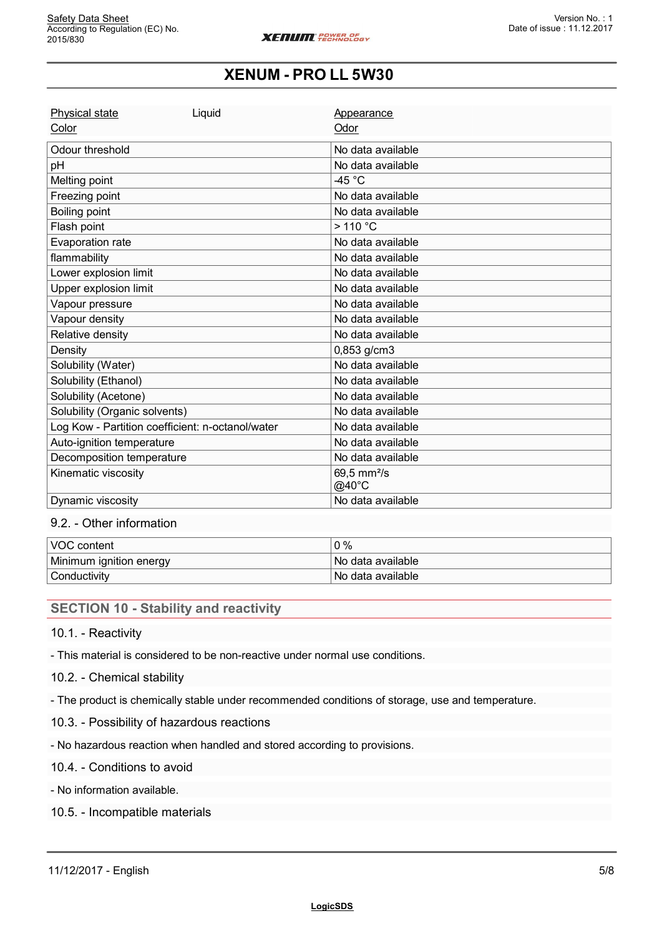| Physical state                                   | Liquid | Appearance                                 |
|--------------------------------------------------|--------|--------------------------------------------|
| Color                                            |        | Odor                                       |
| Odour threshold                                  |        | No data available                          |
| pH                                               |        | No data available                          |
| Melting point                                    |        | -45 $^{\circ}$ C                           |
| Freezing point                                   |        | No data available                          |
| Boiling point                                    |        | No data available                          |
| Flash point                                      |        | $>110$ °C                                  |
| Evaporation rate                                 |        | No data available                          |
| flammability                                     |        | No data available                          |
| Lower explosion limit                            |        | No data available                          |
| Upper explosion limit                            |        | No data available                          |
| Vapour pressure                                  |        | No data available                          |
| Vapour density                                   |        | No data available                          |
| Relative density                                 |        | No data available                          |
| Density                                          |        | 0,853 g/cm3                                |
| Solubility (Water)                               |        | No data available                          |
| Solubility (Ethanol)                             |        | No data available                          |
| Solubility (Acetone)                             |        | No data available                          |
| Solubility (Organic solvents)                    |        | No data available                          |
| Log Kow - Partition coefficient: n-octanol/water |        | No data available                          |
| Auto-ignition temperature                        |        | No data available                          |
| Decomposition temperature                        |        | No data available                          |
| Kinematic viscosity                              |        | 69,5 mm <sup>2</sup> /s<br>$@40^{\circ}$ C |
| Dynamic viscosity                                |        | No data available                          |

## 9.2. - Other information

| <b>VOC content</b>      | 0 %                      |
|-------------------------|--------------------------|
| Minimum ignition energy | <i>No data available</i> |
| <b>Conductivity</b>     | No data available        |

## **SECTION 10 - Stability and reactivity**

## 10.1. - Reactivity

- This material is considered to be non-reactive under normal use conditions.

#### 10.2. - Chemical stability

- The product is chemically stable under recommended conditions of storage, use and temperature.

- 10.3. Possibility of hazardous reactions
- No hazardous reaction when handled and stored according to provisions.

#### 10.4. - Conditions to avoid

- No information available.

10.5. - Incompatible materials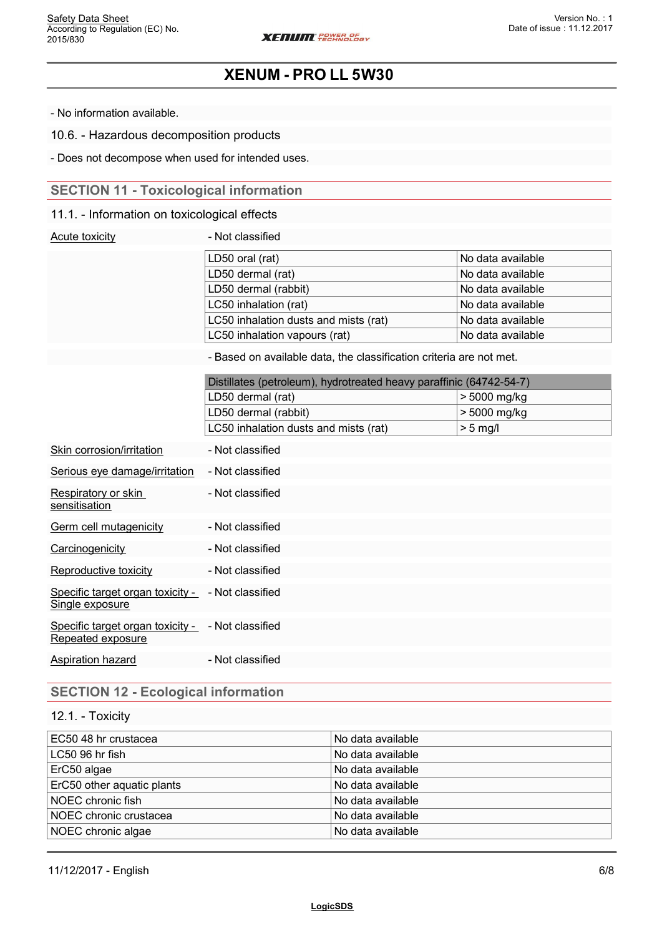- No information available.

10.6. - Hazardous decomposition products

- Does not decompose when used for intended uses.

# **SECTION 11 - Toxicological information**

## 11.1. - Information on toxicological effects

| Acute toxicity | - Not classified                                                    |                   |  |
|----------------|---------------------------------------------------------------------|-------------------|--|
|                | LD50 oral (rat)                                                     | No data available |  |
|                | LD50 dermal (rat)                                                   | No data available |  |
|                | LD50 dermal (rabbit)                                                | No data available |  |
|                | LC50 inhalation (rat)                                               | No data available |  |
|                | LC50 inhalation dusts and mists (rat)                               | No data available |  |
|                | LC50 inhalation vapours (rat)                                       | No data available |  |
|                | - Based on available data, the classification criteria are not met. |                   |  |
|                | Distillates (petroleum), hydrotreated heavy paraffinic (64742-54-7) |                   |  |
|                | LD50 dermal (rat)                                                   | > 5000 mg/kg      |  |
|                | LD50 dermal (rabbit)                                                | > 5000 mg/kg      |  |
|                | LC50 inhalation dusts and mists (rat)                               | $> 5$ mg/l        |  |

| Skin corrosion/irritation                             | - Not classified |
|-------------------------------------------------------|------------------|
| Serious eye damage/irritation                         | - Not classified |
| Respiratory or skin<br>sensitisation                  | - Not classified |
| Germ cell mutagenicity                                | - Not classified |
| Carcinogenicity                                       | - Not classified |
| Reproductive toxicity                                 | - Not classified |
| Specific target organ toxicity -<br>Single exposure   | - Not classified |
| Specific target organ toxicity -<br>Repeated exposure | - Not classified |
| Aspiration hazard                                     | - Not classified |

# **SECTION 12 - Ecological information**

### 12.1. - Toxicity

| EC50 48 hr crustacea       | No data available |
|----------------------------|-------------------|
| ∣LC50 96 hr fish           | No data available |
| ErC50 algae                | No data available |
| ErC50 other aquatic plants | No data available |
| NOEC chronic fish          | No data available |
| NOEC chronic crustacea     | No data available |
| NOEC chronic algae         | No data available |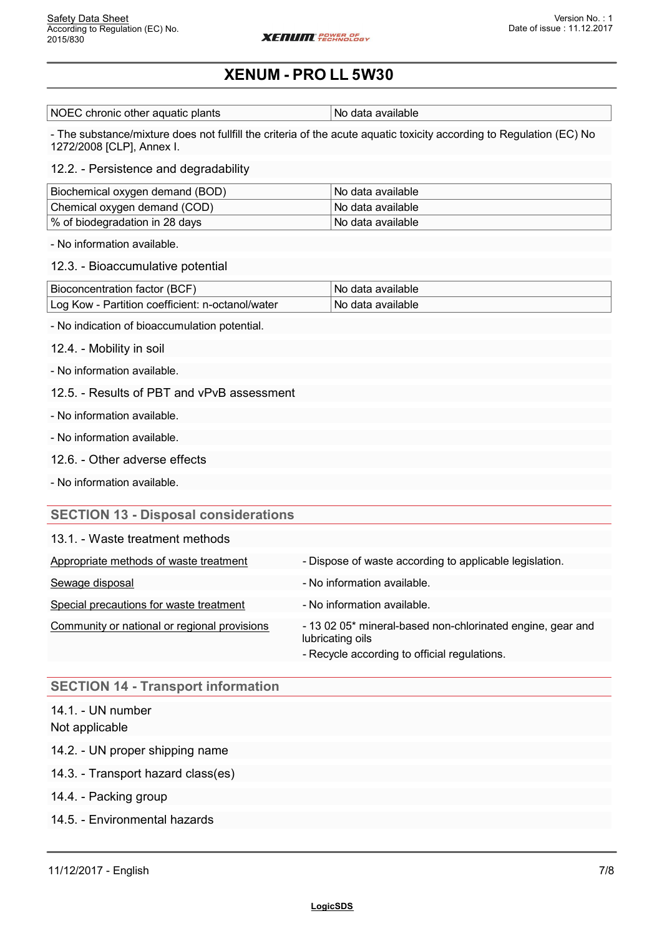NOEC chronic other aquatic plants  $\vert$  No data available

- The substance/mixture does not fullfill the criteria of the acute aquatic toxicity according to Regulation (EC) No 1272/2008 [CLP], Annex I.

#### 12.2. - Persistence and degradability

| Biochemical oxygen demand (BOD) | l No data available |
|---------------------------------|---------------------|
| Chemical oxygen demand (COD)    | l No data available |
| % of biodegradation in 28 days  | l No data available |

- No information available.

#### 12.3. - Bioaccumulative potential

| Bioconcentration factor (BCF)                    | ‡No data available.             |
|--------------------------------------------------|---------------------------------|
| Log Kow - Partition coefficient: n-octanol/water | <sup>⊦</sup> No data available∶ |

- No indication of bioaccumulation potential.
- 12.4. Mobility in soil
- No information available.
- 12.5. Results of PBT and vPvB assessment
- No information available.
- No information available.
- 12.6. Other adverse effects
- No information available.

#### **SECTION 13 - Disposal considerations**

| 13.1. - Waste treatment methods              |                                                                                                                                |
|----------------------------------------------|--------------------------------------------------------------------------------------------------------------------------------|
| Appropriate methods of waste treatment       | - Dispose of waste according to applicable legislation.                                                                        |
| Sewage disposal                              | - No information available.                                                                                                    |
| Special precautions for waste treatment      | - No information available.                                                                                                    |
| Community or national or regional provisions | - 13 02 05* mineral-based non-chlorinated engine, gear and<br>lubricating oils<br>- Recycle according to official regulations. |

#### **SECTION 14 - Transport information**

## 14.1. - UN number Not applicable

- 14.2. UN proper shipping name
- 14.3. Transport hazard class(es)
- 14.4. Packing group
- 14.5. Environmental hazards